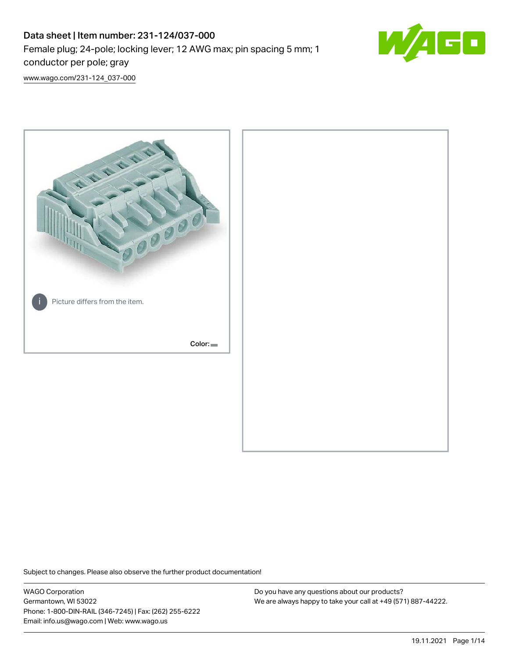# Data sheet | Item number: 231-124/037-000 Female plug; 24-pole; locking lever; 12 AWG max; pin spacing 5 mm; 1 conductor per pole; gray



[www.wago.com/231-124\\_037-000](http://www.wago.com/231-124_037-000)



Subject to changes. Please also observe the further product documentation!

WAGO Corporation Germantown, WI 53022 Phone: 1-800-DIN-RAIL (346-7245) | Fax: (262) 255-6222 Email: info.us@wago.com | Web: www.wago.us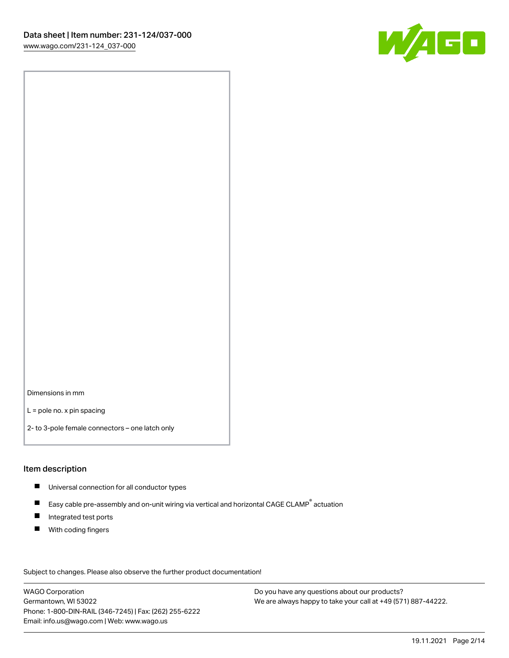

Dimensions in mm

L = pole no. x pin spacing

2- to 3-pole female connectors – one latch only

#### Item description

- **Universal connection for all conductor types**
- Easy cable pre-assembly and on-unit wiring via vertical and horizontal CAGE CLAMP<sup>®</sup> actuation  $\blacksquare$
- $\blacksquare$ Integrated test ports
- $\blacksquare$ With coding fingers

Subject to changes. Please also observe the further product documentation! Data

WAGO Corporation Germantown, WI 53022 Phone: 1-800-DIN-RAIL (346-7245) | Fax: (262) 255-6222 Email: info.us@wago.com | Web: www.wago.us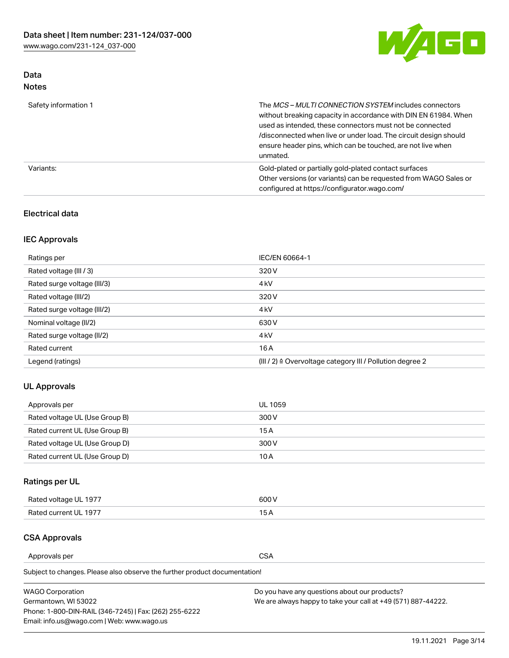

## Data Notes

| Safety information 1 | The MCS-MULTI CONNECTION SYSTEM includes connectors<br>without breaking capacity in accordance with DIN EN 61984. When<br>used as intended, these connectors must not be connected<br>/disconnected when live or under load. The circuit design should<br>ensure header pins, which can be touched, are not live when<br>unmated. |
|----------------------|-----------------------------------------------------------------------------------------------------------------------------------------------------------------------------------------------------------------------------------------------------------------------------------------------------------------------------------|
| Variants:            | Gold-plated or partially gold-plated contact surfaces<br>Other versions (or variants) can be requested from WAGO Sales or<br>configured at https://configurator.wago.com/                                                                                                                                                         |

## Electrical data

## IEC Approvals

| Ratings per                 | IEC/EN 60664-1                                                        |
|-----------------------------|-----------------------------------------------------------------------|
| Rated voltage (III / 3)     | 320 V                                                                 |
| Rated surge voltage (III/3) | 4 <sub>k</sub> V                                                      |
| Rated voltage (III/2)       | 320 V                                                                 |
| Rated surge voltage (III/2) | 4 <sub>k</sub> V                                                      |
| Nominal voltage (II/2)      | 630 V                                                                 |
| Rated surge voltage (II/2)  | 4 <sub>k</sub> V                                                      |
| Rated current               | 16 A                                                                  |
| Legend (ratings)            | $(III / 2)$ $\triangle$ Overvoltage category III / Pollution degree 2 |

## UL Approvals

| Approvals per                  | UL 1059 |
|--------------------------------|---------|
| Rated voltage UL (Use Group B) | 300 V   |
| Rated current UL (Use Group B) | 15 A    |
| Rated voltage UL (Use Group D) | 300 V   |
| Rated current UL (Use Group D) | 10 A    |

## Ratings per UL

| Rated voltage UL 1977 | 300 V |
|-----------------------|-------|
| Rated current UL 1977 |       |

### CSA Approvals

Approvals per CSA

Subject to changes. Please also observe the further product documentation!

| <b>WAGO Corporation</b>                                | Do you have any questions about our products?                 |
|--------------------------------------------------------|---------------------------------------------------------------|
| Germantown, WI 53022                                   | We are always happy to take your call at +49 (571) 887-44222. |
| Phone: 1-800-DIN-RAIL (346-7245)   Fax: (262) 255-6222 |                                                               |
| Email: info.us@wago.com   Web: www.wago.us             |                                                               |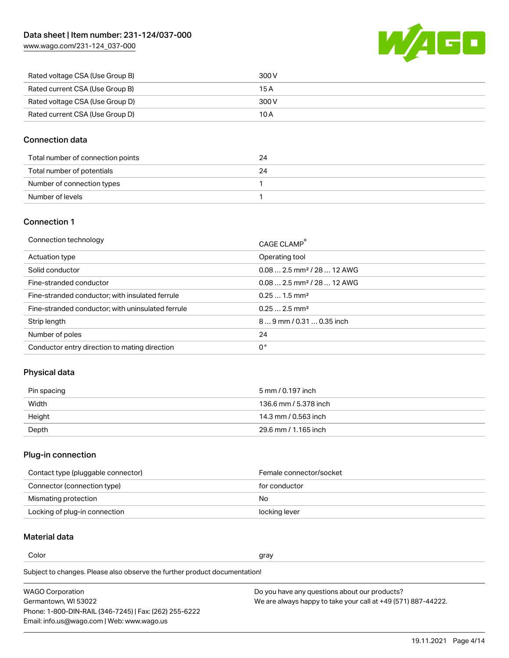[www.wago.com/231-124\\_037-000](http://www.wago.com/231-124_037-000)



| Rated voltage CSA (Use Group B) | 300 V |
|---------------------------------|-------|
| Rated current CSA (Use Group B) | 15 A  |
| Rated voltage CSA (Use Group D) | 300 V |
| Rated current CSA (Use Group D) | 10 A  |

## Connection data

| Total number of connection points | 24 |
|-----------------------------------|----|
| Total number of potentials        | 24 |
| Number of connection types        |    |
| Number of levels                  |    |

## Connection 1

| Connection technology                             | CAGE CLAMP®                             |
|---------------------------------------------------|-----------------------------------------|
| Actuation type                                    | Operating tool                          |
| Solid conductor                                   | $0.08$ 2.5 mm <sup>2</sup> / 28  12 AWG |
| Fine-stranded conductor                           | $0.082.5$ mm <sup>2</sup> / 28  12 AWG  |
| Fine-stranded conductor; with insulated ferrule   | $0.251.5$ mm <sup>2</sup>               |
| Fine-stranded conductor; with uninsulated ferrule | $0.252.5$ mm <sup>2</sup>               |
| Strip length                                      | $89$ mm / 0.31  0.35 inch               |
| Number of poles                                   | 24                                      |
| Conductor entry direction to mating direction     | 0°                                      |
|                                                   |                                         |

## Physical data

| Pin spacing | 5 mm / 0.197 inch     |
|-------------|-----------------------|
| Width       | 136.6 mm / 5.378 inch |
| Height      | 14.3 mm / 0.563 inch  |
| Depth       | 29.6 mm / 1.165 inch  |

## Plug-in connection

| Contact type (pluggable connector) | Female connector/socket |
|------------------------------------|-------------------------|
| Connector (connection type)        | for conductor           |
| Mismating protection               | No.                     |
| Locking of plug-in connection      | locking lever           |

## Material data

Color and the color of the color of the color of the color of the color of the color of the color of the color

Subject to changes. Please also observe the further product documentation! Material group I

| <b>WAGO Corporation</b>                                | Do you have any questions about our products?                 |
|--------------------------------------------------------|---------------------------------------------------------------|
| Germantown, WI 53022                                   | We are always happy to take your call at +49 (571) 887-44222. |
| Phone: 1-800-DIN-RAIL (346-7245)   Fax: (262) 255-6222 |                                                               |
| Email: info.us@wago.com   Web: www.wago.us             |                                                               |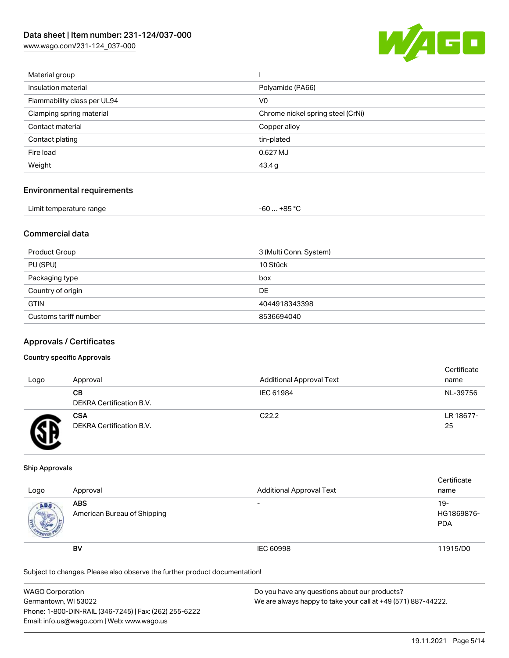[www.wago.com/231-124\\_037-000](http://www.wago.com/231-124_037-000)



| Material group              |                                   |
|-----------------------------|-----------------------------------|
| Insulation material         | Polyamide (PA66)                  |
| Flammability class per UL94 | V <sub>0</sub>                    |
| Clamping spring material    | Chrome nickel spring steel (CrNi) |
| Contact material            | Copper alloy                      |
| Contact plating             | tin-plated                        |
| Fire load                   | 0.627 MJ                          |
| Weight                      | 43.4 g                            |
|                             |                                   |

#### Environmental requirements

| Limit temperature range | $-60+85 °C$ |  |
|-------------------------|-------------|--|
|-------------------------|-------------|--|

## Commercial data

| Product Group         | 3 (Multi Conn. System) |
|-----------------------|------------------------|
| PU (SPU)              | 10 Stück               |
| Packaging type        | box                    |
| Country of origin     | DE                     |
| <b>GTIN</b>           | 4044918343398          |
| Customs tariff number | 8536694040             |

#### Approvals / Certificates

#### Country specific Approvals

| Logo | Approval                               | <b>Additional Approval Text</b> | Certificate<br>name |
|------|----------------------------------------|---------------------------------|---------------------|
|      | CВ<br>DEKRA Certification B.V.         | IEC 61984                       | NL-39756            |
|      | <b>CSA</b><br>DEKRA Certification B.V. | C <sub>22.2</sub>               | LR 18677-<br>25     |

#### Ship Approvals

| Logo | Approval                                  | <b>Additional Approval Text</b> | Certificate<br>name                |
|------|-------------------------------------------|---------------------------------|------------------------------------|
| ABS  | <b>ABS</b><br>American Bureau of Shipping | $\overline{\phantom{0}}$        | $19 -$<br>HG1869876-<br><b>PDA</b> |
|      | <b>BV</b>                                 | IEC 60998                       | 11915/D0                           |

Subject to changes. Please also observe the further product documentation!

| <b>WAGO Corporation</b>                                | Do you have any questions about our products?                 |
|--------------------------------------------------------|---------------------------------------------------------------|
| Germantown, WI 53022                                   | We are always happy to take your call at +49 (571) 887-44222. |
| Phone: 1-800-DIN-RAIL (346-7245)   Fax: (262) 255-6222 |                                                               |
| Email: info.us@wago.com   Web: www.wago.us             |                                                               |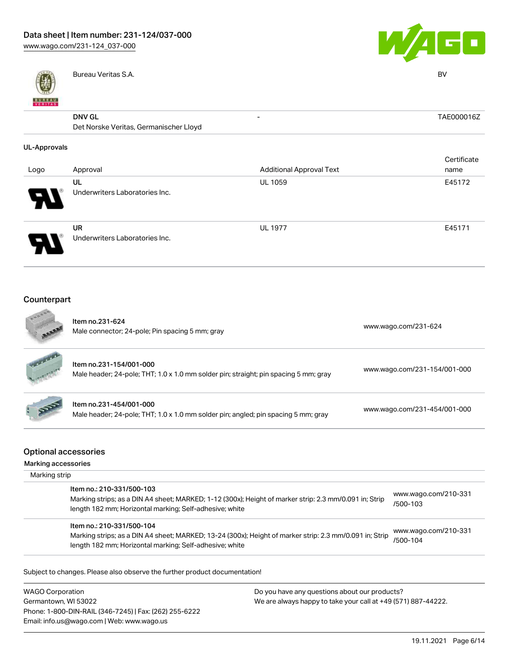



|                                        | Bureau Veritas S.A.            |                                 | BV          |  |
|----------------------------------------|--------------------------------|---------------------------------|-------------|--|
|                                        |                                |                                 |             |  |
| <b>BUNEAU</b>                          |                                |                                 |             |  |
|                                        | <b>DNV GL</b>                  | $\overline{\phantom{a}}$        | TAE000016Z  |  |
| Det Norske Veritas, Germanischer Lloyd |                                |                                 |             |  |
| <b>UL-Approvals</b>                    |                                |                                 |             |  |
|                                        |                                |                                 | Certificate |  |
| Logo                                   | Approval                       | <b>Additional Approval Text</b> | name        |  |
|                                        | UL                             | UL 1059                         | E45172      |  |
|                                        | Underwriters Laboratories Inc. |                                 |             |  |
|                                        | <b>UR</b>                      | <b>UL 1977</b>                  | E45171      |  |
|                                        | Underwriters Laboratories Inc. |                                 |             |  |
|                                        |                                |                                 |             |  |
| Counterpart                            |                                |                                 |             |  |



|                                                    | Item no.231-624<br>Male connector; 24-pole; Pin spacing 5 mm; gray                                                                                                                             | www.wago.com/231-624                    |
|----------------------------------------------------|------------------------------------------------------------------------------------------------------------------------------------------------------------------------------------------------|-----------------------------------------|
|                                                    | Item no.231-154/001-000<br>Male header; 24-pole; THT; 1.0 x 1.0 mm solder pin; straight; pin spacing 5 mm; gray                                                                                | www.wago.com/231-154/001-000            |
|                                                    | Item no.231-454/001-000<br>Male header; 24-pole; THT; 1.0 x 1.0 mm solder pin; angled; pin spacing 5 mm; gray                                                                                  | www.wago.com/231-454/001-000            |
| <b>Optional accessories</b><br>Marking accessories |                                                                                                                                                                                                |                                         |
| Marking strip                                      |                                                                                                                                                                                                |                                         |
|                                                    | Item no.: 210-331/500-103<br>Marking strips; as a DIN A4 sheet; MARKED; 1-12 (300x); Height of marker strip: 2.3 mm/0.091 in; Strip<br>length 182 mm; Horizontal marking; Self-adhesive; white | www.wago.com/210-331<br>/500-103        |
|                                                    | Item no.: 210-331/500-104<br>Marking strips; as a DIN A4 sheet; MARKED; 13-24 (300x); Height of marker strip: 2.3 mm/0.091 in; Strip                                                           | www.wago.com/210-331<br>$1 - 0 - 1 - 1$ |

Subject to changes. Please also observe the further product documentation!

length 182 mm; Horizontal marking; Self-adhesive; white

WAGO Corporation Germantown, WI 53022 Phone: 1-800-DIN-RAIL (346-7245) | Fax: (262) 255-6222 Email: info.us@wago.com | Web: www.wago.us

Do you have any questions about our products? We are always happy to take your call at +49 (571) 887-44222.

[/500-104](http://www.wago.com/210-331/500-104)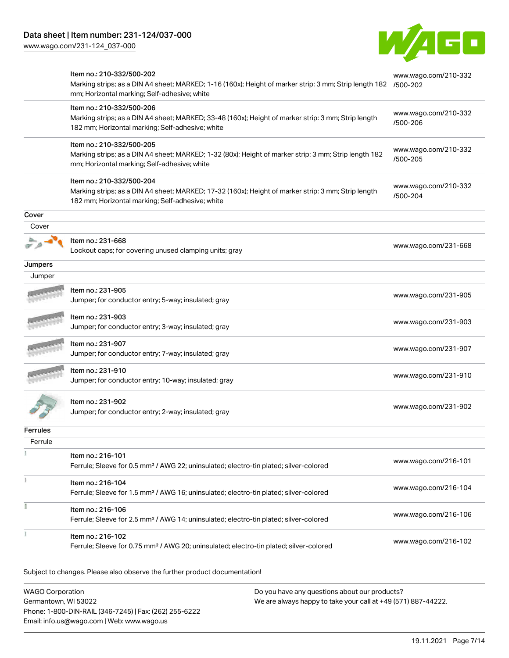[www.wago.com/231-124\\_037-000](http://www.wago.com/231-124_037-000)



|                 | Item no.: 210-332/500-202<br>Marking strips; as a DIN A4 sheet; MARKED; 1-16 (160x); Height of marker strip: 3 mm; Strip length 182<br>mm; Horizontal marking; Self-adhesive; white  | www.wago.com/210-332<br>/500-202 |
|-----------------|--------------------------------------------------------------------------------------------------------------------------------------------------------------------------------------|----------------------------------|
|                 | Item no.: 210-332/500-206<br>Marking strips; as a DIN A4 sheet; MARKED; 33-48 (160x); Height of marker strip: 3 mm; Strip length<br>182 mm; Horizontal marking; Self-adhesive; white | www.wago.com/210-332<br>/500-206 |
|                 | Item no.: 210-332/500-205<br>Marking strips; as a DIN A4 sheet; MARKED; 1-32 (80x); Height of marker strip: 3 mm; Strip length 182<br>mm; Horizontal marking; Self-adhesive; white   | www.wago.com/210-332<br>/500-205 |
|                 | Item no.: 210-332/500-204<br>Marking strips; as a DIN A4 sheet; MARKED; 17-32 (160x); Height of marker strip: 3 mm; Strip length<br>182 mm; Horizontal marking; Self-adhesive; white | www.wago.com/210-332<br>/500-204 |
| Cover           |                                                                                                                                                                                      |                                  |
| Cover           |                                                                                                                                                                                      |                                  |
|                 | Item no.: 231-668<br>Lockout caps; for covering unused clamping units; gray                                                                                                          | www.wago.com/231-668             |
| Jumpers         |                                                                                                                                                                                      |                                  |
| Jumper          |                                                                                                                                                                                      |                                  |
|                 | Item no.: 231-905<br>Jumper; for conductor entry; 5-way; insulated; gray                                                                                                             | www.wago.com/231-905             |
|                 | Item no.: 231-903<br>Jumper; for conductor entry; 3-way; insulated; gray                                                                                                             | www.wago.com/231-903             |
|                 | Item no.: 231-907<br>Jumper; for conductor entry; 7-way; insulated; gray                                                                                                             | www.wago.com/231-907             |
|                 | Item no.: 231-910<br>Jumper; for conductor entry; 10-way; insulated; gray                                                                                                            | www.wago.com/231-910             |
|                 | Item no.: 231-902<br>Jumper; for conductor entry; 2-way; insulated; gray                                                                                                             | www.wago.com/231-902             |
| <b>Ferrules</b> |                                                                                                                                                                                      |                                  |
| Ferrule         |                                                                                                                                                                                      |                                  |
|                 | Item no.: 216-101<br>Ferrule; Sleeve for 0.5 mm <sup>2</sup> / AWG 22; uninsulated; electro-tin plated; silver-colored                                                               | www.wago.com/216-101             |
|                 | Item no.: 216-104<br>Ferrule; Sleeve for 1.5 mm <sup>2</sup> / AWG 16; uninsulated; electro-tin plated; silver-colored                                                               | www.wago.com/216-104             |
|                 | Item no.: 216-106<br>Ferrule; Sleeve for 2.5 mm <sup>2</sup> / AWG 14; uninsulated; electro-tin plated; silver-colored                                                               | www.wago.com/216-106             |
|                 | Item no.: 216-102<br>Ferrule; Sleeve for 0.75 mm <sup>2</sup> / AWG 20; uninsulated; electro-tin plated; silver-colored                                                              | www.wago.com/216-102             |
|                 | Subject to changes. Please also observe the further product documentation!                                                                                                           |                                  |

WAGO Corporation Germantown, WI 53022 Phone: 1-800-DIN-RAIL (346-7245) | Fax: (262) 255-6222 Email: info.us@wago.com | Web: www.wago.us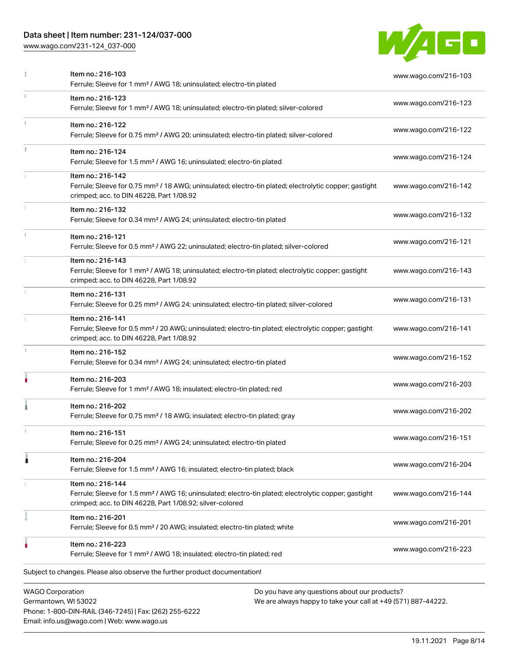Phone: 1-800-DIN-RAIL (346-7245) | Fax: (262) 255-6222

Email: info.us@wago.com | Web: www.wago.us

[www.wago.com/231-124\\_037-000](http://www.wago.com/231-124_037-000)



|    | Item no.: 216-103<br>Ferrule; Sleeve for 1 mm <sup>2</sup> / AWG 18; uninsulated; electro-tin plated                                                                                              | www.wago.com/216-103                                                                                           |
|----|---------------------------------------------------------------------------------------------------------------------------------------------------------------------------------------------------|----------------------------------------------------------------------------------------------------------------|
|    | Item no.: 216-123<br>Ferrule; Sleeve for 1 mm <sup>2</sup> / AWG 18; uninsulated; electro-tin plated; silver-colored                                                                              | www.wago.com/216-123                                                                                           |
|    | Item no.: 216-122<br>Ferrule; Sleeve for 0.75 mm <sup>2</sup> / AWG 20; uninsulated; electro-tin plated; silver-colored                                                                           | www.wago.com/216-122                                                                                           |
| ă. | Item no.: 216-124<br>Ferrule; Sleeve for 1.5 mm <sup>2</sup> / AWG 16; uninsulated; electro-tin plated                                                                                            | www.wago.com/216-124                                                                                           |
|    | Item no.: 216-142<br>Ferrule; Sleeve for 0.75 mm <sup>2</sup> / 18 AWG; uninsulated; electro-tin plated; electrolytic copper; gastight<br>crimped; acc. to DIN 46228, Part 1/08.92                | www.wago.com/216-142                                                                                           |
|    | Item no.: 216-132<br>Ferrule; Sleeve for 0.34 mm <sup>2</sup> / AWG 24; uninsulated; electro-tin plated                                                                                           | www.wago.com/216-132                                                                                           |
|    | Item no.: 216-121<br>Ferrule; Sleeve for 0.5 mm <sup>2</sup> / AWG 22; uninsulated; electro-tin plated; silver-colored                                                                            | www.wago.com/216-121                                                                                           |
|    | Item no.: 216-143<br>Ferrule; Sleeve for 1 mm <sup>2</sup> / AWG 18; uninsulated; electro-tin plated; electrolytic copper; gastight<br>crimped; acc. to DIN 46228, Part 1/08.92                   | www.wago.com/216-143                                                                                           |
|    | Item no.: 216-131<br>Ferrule; Sleeve for 0.25 mm <sup>2</sup> / AWG 24; uninsulated; electro-tin plated; silver-colored                                                                           | www.wago.com/216-131                                                                                           |
|    | Item no.: 216-141<br>Ferrule; Sleeve for 0.5 mm <sup>2</sup> / 20 AWG; uninsulated; electro-tin plated; electrolytic copper; gastight<br>crimped; acc. to DIN 46228, Part 1/08.92                 | www.wago.com/216-141                                                                                           |
|    | Item no.: 216-152<br>Ferrule; Sleeve for 0.34 mm <sup>2</sup> / AWG 24; uninsulated; electro-tin plated                                                                                           | www.wago.com/216-152                                                                                           |
|    | Item no.: 216-203<br>Ferrule; Sleeve for 1 mm <sup>2</sup> / AWG 18; insulated; electro-tin plated; red                                                                                           | www.wago.com/216-203                                                                                           |
|    | Item no.: 216-202<br>Ferrule; Sleeve for 0.75 mm <sup>2</sup> / 18 AWG; insulated; electro-tin plated; gray                                                                                       | www.wago.com/216-202                                                                                           |
|    | Item no.: 216-151<br>Ferrule; Sleeve for 0.25 mm <sup>2</sup> / AWG 24; uninsulated; electro-tin plated                                                                                           | www.wago.com/216-151                                                                                           |
|    | Item no.: 216-204<br>Ferrule; Sleeve for 1.5 mm <sup>2</sup> / AWG 16; insulated; electro-tin plated; black                                                                                       | www.wago.com/216-204                                                                                           |
|    | Item no.: 216-144<br>Ferrule; Sleeve for 1.5 mm <sup>2</sup> / AWG 16; uninsulated; electro-tin plated; electrolytic copper; gastight<br>crimped; acc. to DIN 46228, Part 1/08.92; silver-colored | www.wago.com/216-144                                                                                           |
|    | Item no.: 216-201<br>Ferrule; Sleeve for 0.5 mm <sup>2</sup> / 20 AWG; insulated; electro-tin plated; white                                                                                       | www.wago.com/216-201                                                                                           |
|    | Item no.: 216-223<br>Ferrule; Sleeve for 1 mm <sup>2</sup> / AWG 18; insulated; electro-tin plated; red                                                                                           | www.wago.com/216-223                                                                                           |
|    | Subject to changes. Please also observe the further product documentation!                                                                                                                        |                                                                                                                |
|    | <b>WAGO Corporation</b><br>Germantown, WI 53022                                                                                                                                                   | Do you have any questions about our products?<br>We are always happy to take your call at +49 (571) 887-44222. |

19.11.2021 Page 8/14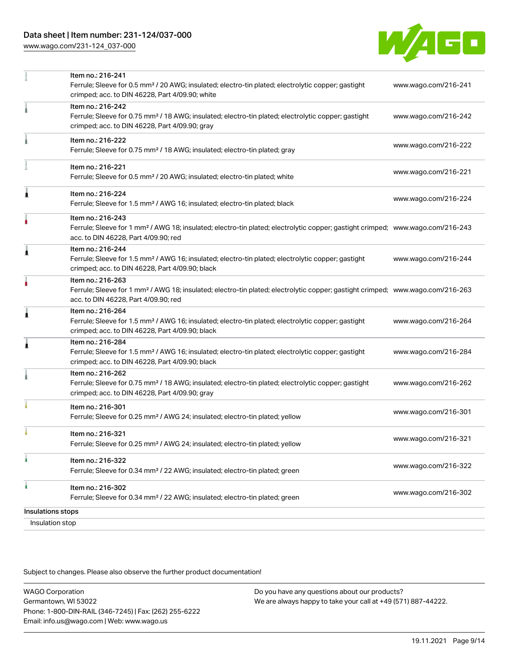[www.wago.com/231-124\\_037-000](http://www.wago.com/231-124_037-000)



| Insulation stop   |                                                                                                                                                                                                         |                      |
|-------------------|---------------------------------------------------------------------------------------------------------------------------------------------------------------------------------------------------------|----------------------|
| Insulations stops |                                                                                                                                                                                                         |                      |
| ٠                 | Item no.: 216-302<br>Ferrule; Sleeve for 0.34 mm <sup>2</sup> / 22 AWG; insulated; electro-tin plated; green                                                                                            | www.wago.com/216-302 |
|                   | Ferrule; Sleeve for 0.34 mm <sup>2</sup> / 22 AWG; insulated; electro-tin plated; green                                                                                                                 | www.wago.com/216-322 |
|                   | Item no.: 216-321<br>Ferrule; Sleeve for 0.25 mm <sup>2</sup> / AWG 24; insulated; electro-tin plated; yellow<br>Item no.: 216-322                                                                      | www.wago.com/216-321 |
|                   | Item no.: 216-301<br>Ferrule; Sleeve for 0.25 mm <sup>2</sup> / AWG 24; insulated; electro-tin plated; yellow                                                                                           | www.wago.com/216-301 |
|                   | Item no.: 216-262<br>Ferrule; Sleeve for 0.75 mm <sup>2</sup> / 18 AWG; insulated; electro-tin plated; electrolytic copper; gastight<br>crimped; acc. to DIN 46228, Part 4/09.90; gray                  | www.wago.com/216-262 |
| 1                 | Item no.: 216-284<br>Ferrule; Sleeve for 1.5 mm <sup>2</sup> / AWG 16; insulated; electro-tin plated; electrolytic copper; gastight<br>crimped; acc. to DIN 46228, Part 4/09.90; black                  | www.wago.com/216-284 |
| Â                 | Item no.: 216-264<br>Ferrule; Sleeve for 1.5 mm <sup>2</sup> / AWG 16; insulated; electro-tin plated; electrolytic copper; gastight<br>crimped; acc. to DIN 46228, Part 4/09.90; black                  | www.wago.com/216-264 |
|                   | Item no.: 216-263<br>Ferrule; Sleeve for 1 mm <sup>2</sup> / AWG 18; insulated; electro-tin plated; electrolytic copper; gastight crimped; www.wago.com/216-263<br>acc. to DIN 46228, Part 4/09.90; red |                      |
| Â                 | Item no.: 216-244<br>Ferrule; Sleeve for 1.5 mm <sup>2</sup> / AWG 16; insulated; electro-tin plated; electrolytic copper; gastight<br>crimped; acc. to DIN 46228, Part 4/09.90; black                  | www.wago.com/216-244 |
|                   | Item no.: 216-243<br>Ferrule; Sleeve for 1 mm <sup>2</sup> / AWG 18; insulated; electro-tin plated; electrolytic copper; gastight crimped; www.wago.com/216-243<br>acc. to DIN 46228, Part 4/09.90; red |                      |
| Â                 | Item no.: 216-224<br>Ferrule; Sleeve for 1.5 mm <sup>2</sup> / AWG 16; insulated; electro-tin plated; black                                                                                             | www.wago.com/216-224 |
|                   | Item no.: 216-221<br>Ferrule; Sleeve for 0.5 mm <sup>2</sup> / 20 AWG; insulated; electro-tin plated; white                                                                                             | www.wago.com/216-221 |
|                   | Item no.: 216-222<br>Ferrule; Sleeve for 0.75 mm <sup>2</sup> / 18 AWG; insulated; electro-tin plated; gray                                                                                             | www.wago.com/216-222 |
|                   | Item no.: 216-242<br>Ferrule; Sleeve for 0.75 mm <sup>2</sup> / 18 AWG; insulated; electro-tin plated; electrolytic copper; gastight<br>crimped; acc. to DIN 46228, Part 4/09.90; gray                  | www.wago.com/216-242 |
|                   | Item no.: 216-241<br>Ferrule; Sleeve for 0.5 mm <sup>2</sup> / 20 AWG; insulated; electro-tin plated; electrolytic copper; gastight<br>crimped; acc. to DIN 46228, Part 4/09.90; white                  | www.wago.com/216-241 |

Subject to changes. Please also observe the further product documentation!

WAGO Corporation Germantown, WI 53022 Phone: 1-800-DIN-RAIL (346-7245) | Fax: (262) 255-6222 Email: info.us@wago.com | Web: www.wago.us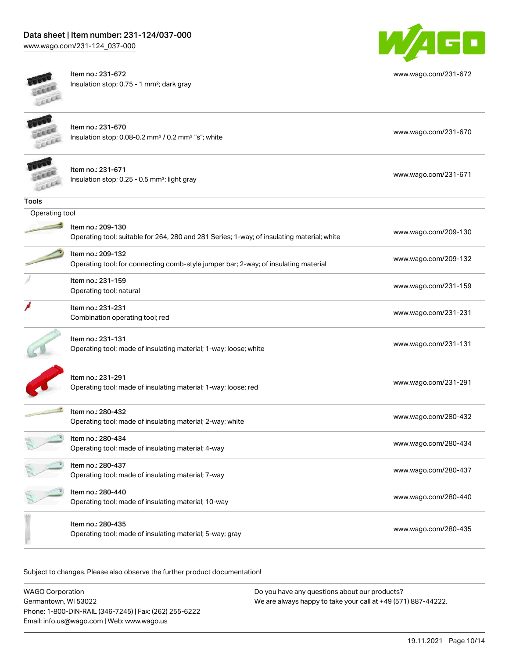[www.wago.com/231-124\\_037-000](http://www.wago.com/231-124_037-000)



Item no.: 231-672 Insulation stop; 0.75 - 1 mm²; dark gray



[www.wago.com/231-672](http://www.wago.com/231-672)

 $\blacksquare$ 

Item no.: 231-670 Insulation stop; 0.08-0.2 mm² / 0.2 mm² "s"; white [www.wago.com/231-670](http://www.wago.com/231-670) www.wago.com/231-670

| Item no.: 231-671    |
|----------------------|
| Insulation stop; 0.2 |

| TERR           | Insulation stop; 0.25 - 0.5 mm <sup>2</sup> ; light gray                                   | www.wago.com/231-671 |
|----------------|--------------------------------------------------------------------------------------------|----------------------|
| Tools          |                                                                                            |                      |
| Operating tool |                                                                                            |                      |
|                | Item no.: 209-130                                                                          |                      |
|                | Operating tool; suitable for 264, 280 and 281 Series; 1-way; of insulating material; white | www.wago.com/209-130 |
|                | Item no.: 209-132                                                                          |                      |
|                | Operating tool; for connecting comb-style jumper bar; 2-way; of insulating material        | www.wago.com/209-132 |
|                | Item no.: 231-159                                                                          |                      |
|                | Operating tool; natural                                                                    | www.wago.com/231-159 |
|                | Item no.: 231-231                                                                          | www.wago.com/231-231 |
|                | Combination operating tool; red                                                            |                      |
|                | Item no.: 231-131                                                                          |                      |
|                | Operating tool; made of insulating material; 1-way; loose; white                           | www.wago.com/231-131 |
|                |                                                                                            |                      |
|                | Item no.: 231-291<br>Operating tool; made of insulating material; 1-way; loose; red        | www.wago.com/231-291 |
|                |                                                                                            |                      |
|                | Item no.: 280-432                                                                          |                      |
|                | Operating tool; made of insulating material; 2-way; white                                  | www.wago.com/280-432 |
|                | Item no.: 280-434                                                                          | www.wago.com/280-434 |
|                | Operating tool; made of insulating material; 4-way                                         |                      |
|                | Item no.: 280-437                                                                          | www.wago.com/280-437 |
|                | Operating tool; made of insulating material; 7-way                                         |                      |
|                | Item no.: 280-440                                                                          | www.wago.com/280-440 |
|                | Operating tool; made of insulating material; 10-way                                        |                      |
|                | Item no.: 280-435                                                                          |                      |
|                | Operating tool; made of insulating material; 5-way; gray                                   | www.wago.com/280-435 |

Subject to changes. Please also observe the further product documentation!

| <b>WAGO Corporation</b>                                | Do you have any questions about our products?                 |
|--------------------------------------------------------|---------------------------------------------------------------|
| Germantown, WI 53022                                   | We are always happy to take your call at +49 (571) 887-44222. |
| Phone: 1-800-DIN-RAIL (346-7245)   Fax: (262) 255-6222 |                                                               |
| Email: info.us@wago.com   Web: www.wago.us             |                                                               |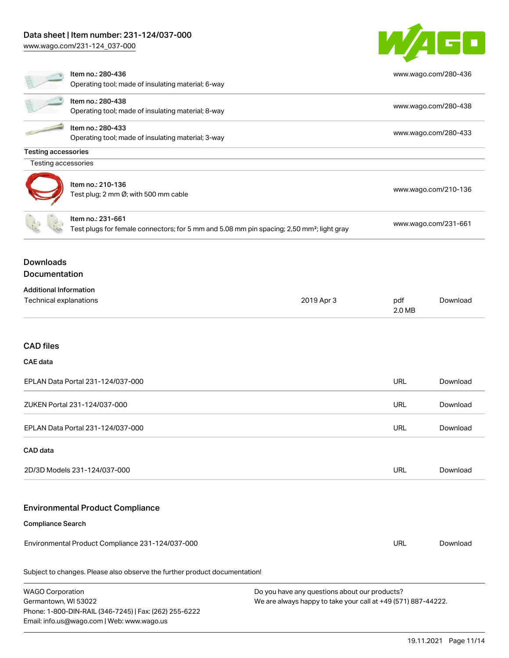[www.wago.com/231-124\\_037-000](http://www.wago.com/231-124_037-000)

Email: info.us@wago.com | Web: www.wago.us



|                                                         | Item no.: 280-436<br>Operating tool; made of insulating material; 6-way                                                    |                                                                                                                | www.wago.com/280-436 |                      |  |
|---------------------------------------------------------|----------------------------------------------------------------------------------------------------------------------------|----------------------------------------------------------------------------------------------------------------|----------------------|----------------------|--|
|                                                         | Item no.: 280-438<br>Operating tool; made of insulating material; 8-way                                                    |                                                                                                                |                      | www.wago.com/280-438 |  |
|                                                         | Item no.: 280-433<br>Operating tool; made of insulating material; 3-way                                                    |                                                                                                                |                      | www.wago.com/280-433 |  |
| <b>Testing accessories</b>                              |                                                                                                                            |                                                                                                                |                      |                      |  |
| Testing accessories                                     |                                                                                                                            |                                                                                                                |                      |                      |  |
|                                                         | Item no.: 210-136<br>Test plug; 2 mm Ø; with 500 mm cable                                                                  |                                                                                                                |                      | www.wago.com/210-136 |  |
|                                                         | Item no.: 231-661<br>Test plugs for female connectors; for 5 mm and 5.08 mm pin spacing; 2,50 mm <sup>2</sup> ; light gray |                                                                                                                | www.wago.com/231-661 |                      |  |
| <b>Downloads</b><br><b>Documentation</b>                |                                                                                                                            |                                                                                                                |                      |                      |  |
| <b>Additional Information</b><br>Technical explanations |                                                                                                                            | 2019 Apr 3                                                                                                     | pdf<br>2.0 MB        | Download             |  |
| <b>CAD</b> files<br><b>CAE</b> data                     |                                                                                                                            |                                                                                                                |                      |                      |  |
|                                                         | EPLAN Data Portal 231-124/037-000                                                                                          |                                                                                                                | <b>URL</b>           | Download             |  |
|                                                         | ZUKEN Portal 231-124/037-000                                                                                               |                                                                                                                | <b>URL</b>           | Download             |  |
|                                                         | EPLAN Data Portal 231-124/037-000                                                                                          |                                                                                                                | URL                  | Download             |  |
| CAD data                                                |                                                                                                                            |                                                                                                                |                      |                      |  |
|                                                         | 2D/3D Models 231-124/037-000                                                                                               |                                                                                                                | <b>URL</b>           | Download             |  |
|                                                         | <b>Environmental Product Compliance</b>                                                                                    |                                                                                                                |                      |                      |  |
| <b>Compliance Search</b>                                |                                                                                                                            |                                                                                                                |                      |                      |  |
|                                                         | Environmental Product Compliance 231-124/037-000                                                                           |                                                                                                                | <b>URL</b>           | Download             |  |
|                                                         | Subject to changes. Please also observe the further product documentation!                                                 |                                                                                                                |                      |                      |  |
| <b>WAGO Corporation</b><br>Germantown, WI 53022         | Phone: 1-800-DIN-RAIL (346-7245)   Fax: (262) 255-6222                                                                     | Do you have any questions about our products?<br>We are always happy to take your call at +49 (571) 887-44222. |                      |                      |  |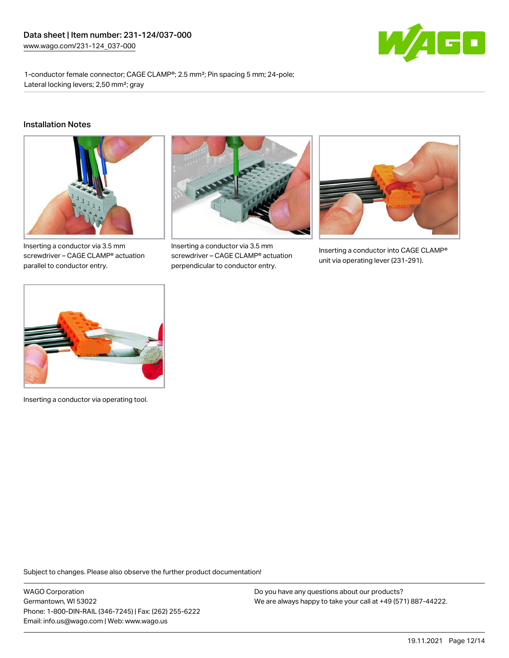

1-conductor female connector; CAGE CLAMP®; 2.5 mm²; Pin spacing 5 mm; 24-pole; Lateral locking levers; 2,50 mm²; gray

#### Installation Notes



Inserting a conductor via 3.5 mm screwdriver – CAGE CLAMP® actuation parallel to conductor entry.



Inserting a conductor via 3.5 mm screwdriver – CAGE CLAMP® actuation perpendicular to conductor entry.



Inserting a conductor into CAGE CLAMP® unit via operating lever (231-291).



Inserting a conductor via operating tool.

Subject to changes. Please also observe the further product documentation!

WAGO Corporation Germantown, WI 53022 Phone: 1-800-DIN-RAIL (346-7245) | Fax: (262) 255-6222 Email: info.us@wago.com | Web: www.wago.us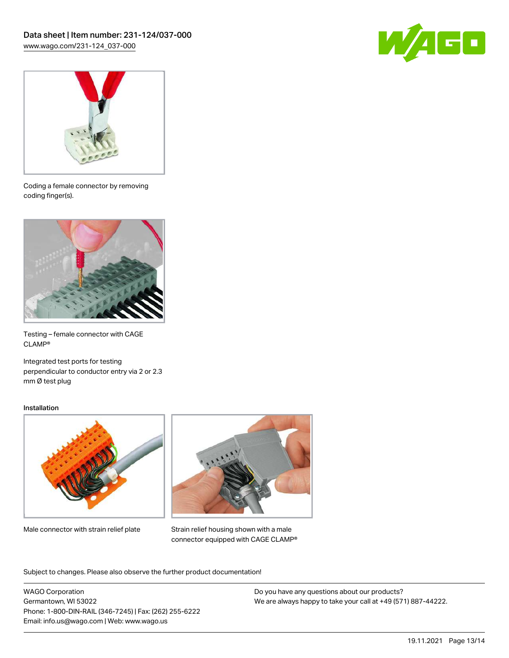



Coding a female connector by removing coding finger(s).



Testing – female connector with CAGE CLAMP®

Integrated test ports for testing perpendicular to conductor entry via 2 or 2.3 mm Ø test plug

#### Installation



Male connector with strain relief plate



Strain relief housing shown with a male connector equipped with CAGE CLAMP®

Subject to changes. Please also observe the further product documentation!

WAGO Corporation Germantown, WI 53022 Phone: 1-800-DIN-RAIL (346-7245) | Fax: (262) 255-6222 Email: info.us@wago.com | Web: www.wago.us